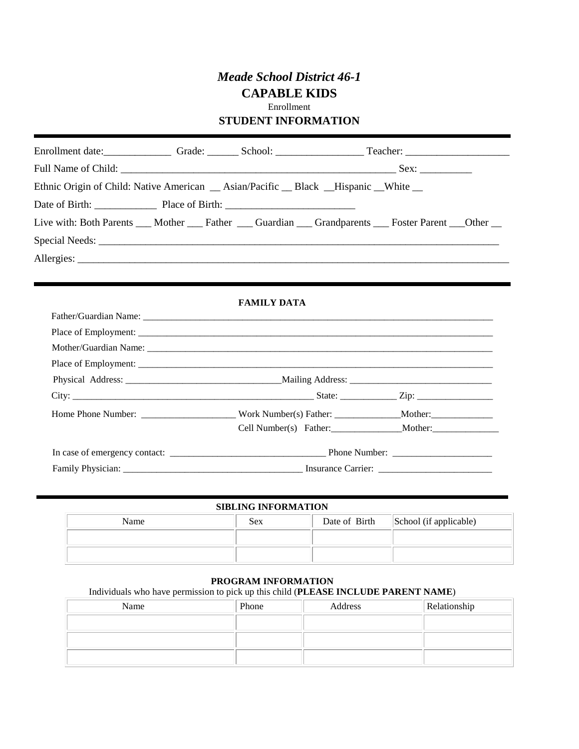## *Meade School District 46-1* **CAPABLE KIDS** Enrollment **STUDENT INFORMATION**

| Ethnic Origin of Child: Native American __ Asian/Pacific __ Black __Hispanic __White __                        |                    |  |  |  |
|----------------------------------------------------------------------------------------------------------------|--------------------|--|--|--|
|                                                                                                                |                    |  |  |  |
| Live with: Both Parents ___ Mother ___ Father ___ Guardian ___ Grandparents ___ Foster Parent ___ Other __     |                    |  |  |  |
|                                                                                                                |                    |  |  |  |
|                                                                                                                |                    |  |  |  |
|                                                                                                                |                    |  |  |  |
|                                                                                                                | <b>FAMILY DATA</b> |  |  |  |
|                                                                                                                |                    |  |  |  |
|                                                                                                                |                    |  |  |  |
|                                                                                                                |                    |  |  |  |
|                                                                                                                |                    |  |  |  |
|                                                                                                                |                    |  |  |  |
|                                                                                                                |                    |  |  |  |
| Home Phone Number: ____________________________Work Number(s) Father: _________________Mother: _______________ |                    |  |  |  |
|                                                                                                                |                    |  |  |  |
|                                                                                                                |                    |  |  |  |
|                                                                                                                |                    |  |  |  |

## **SIBLING INFORMATION**

| Name | Sex | Date of Birth | School (if applicable) |
|------|-----|---------------|------------------------|
|      |     |               |                        |
|      |     |               |                        |

## **PROGRAM INFORMATION**

Individuals who have permission to pick up this child (**PLEASE INCLUDE PARENT NAME**)

| Name | Phone | Address | Relationship |
|------|-------|---------|--------------|
|      |       |         |              |
|      |       |         |              |
|      |       |         |              |